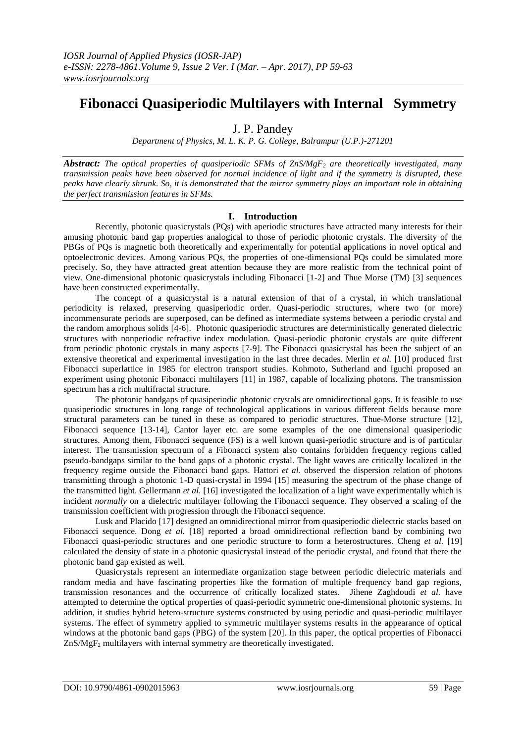# **Fibonacci Quasiperiodic Multilayers with Internal Symmetry**

J. P. Pandey

*Department of Physics, M. L. K. P. G. College, Balrampur (U.P.)-271201*

*Abstract: The optical properties of quasiperiodic SFMs of ZnS/MgF<sup>2</sup> are theoretically investigated, many transmission peaks have been observed for normal incidence of light and if the symmetry is disrupted, these peaks have clearly shrunk. So, it is demonstrated that the mirror symmetry plays an important role in obtaining the perfect transmission features in SFMs.*

## **I. Introduction**

Recently, photonic quasicrystals (PQs) with aperiodic structures have attracted many interests for their amusing photonic band gap properties analogical to those of periodic photonic crystals. The diversity of the PBGs of PQs is magnetic both theoretically and experimentally for potential applications in novel optical and optoelectronic devices. Among various PQs, the properties of one-dimensional PQs could be simulated more precisely. So, they have attracted great attention because they are more realistic from the technical point of view. One-dimensional photonic quasicrystals including Fibonacci [1-2] and Thue Morse (TM) [3] sequences have been constructed experimentally.

The concept of a quasicrystal is a natural extension of that of a crystal, in which translational periodicity is relaxed, preserving quasiperiodic order. Quasi-periodic structures, where two (or more) incommensurate periods are superposed, can be defined as intermediate systems between a periodic crystal and the random amorphous solids [4-6]. Photonic quasiperiodic structures are deterministically generated dielectric structures with nonperiodic refractive index modulation. Quasi-periodic photonic crystals are quite different from periodic photonic crystals in many aspects [7-9]. The Fibonacci quasicrystal has been the subject of an extensive theoretical and experimental investigation in the last three decades. Merlin *et al.* [10] produced first Fibonacci superlattice in 1985 for electron transport studies. Kohmoto, Sutherland and Iguchi proposed an experiment using photonic Fibonacci multilayers [11] in 1987, capable of localizing photons. The transmission spectrum has a rich multifractal structure.

The photonic bandgaps of quasiperiodic photonic crystals are omnidirectional gaps. It is feasible to use quasiperiodic structures in long range of technological applications in various different fields because more structural parameters can be tuned in these as compared to periodic structures. Thue-Morse structure [12], Fibonacci sequence [13-14], Cantor layer etc. are some examples of the one dimensional quasiperiodic structures. Among them, Fibonacci sequence (FS) is a well known quasi-periodic structure and is of particular interest. The transmission spectrum of a Fibonacci system also contains forbidden frequency regions called pseudo-bandgaps similar to the band gaps of a photonic crystal. The light waves are critically localized in the frequency regime outside the Fibonacci band gaps. Hattori *et al.* observed the dispersion relation of photons transmitting through a photonic 1-D quasi-crystal in 1994 [15] measuring the spectrum of the phase change of the transmitted light. Gellermann *et al.* [16] investigated the localization of a light wave experimentally which is incident *normally* on a dielectric multilayer following the Fibonacci sequence. They observed a scaling of the transmission coefficient with progression through the Fibonacci sequence.

Lusk and Placido [17] designed an omnidirectional mirror from quasiperiodic dielectric stacks based on Fibonacci sequence. Dong *et al.* [18] reported a broad omnidirectional reflection band by combining two Fibonacci quasi-periodic structures and one periodic structure to form a heterostructures. Cheng *et al.* [19] calculated the density of state in a photonic quasicrystal instead of the periodic crystal, and found that there the photonic band gap existed as well.

Quasicrystals represent an intermediate organization stage between periodic dielectric materials and random media and have fascinating properties like the formation of multiple frequency band gap regions, transmission resonances and the occurrence of critically localized states. Jihene Zaghdoudi *et al.* have attempted to determine the optical properties of quasi-periodic symmetric one-dimensional photonic systems. In addition, it studies hybrid hetero-structure systems constructed by using periodic and quasi-periodic multilayer systems. The effect of symmetry applied to symmetric multilayer systems results in the appearance of optical windows at the photonic band gaps (PBG) of the system [20]. In this paper, the optical properties of Fibonacci  $ZnS/MgF<sub>2</sub>$  multilayers with internal symmetry are theoretically investigated.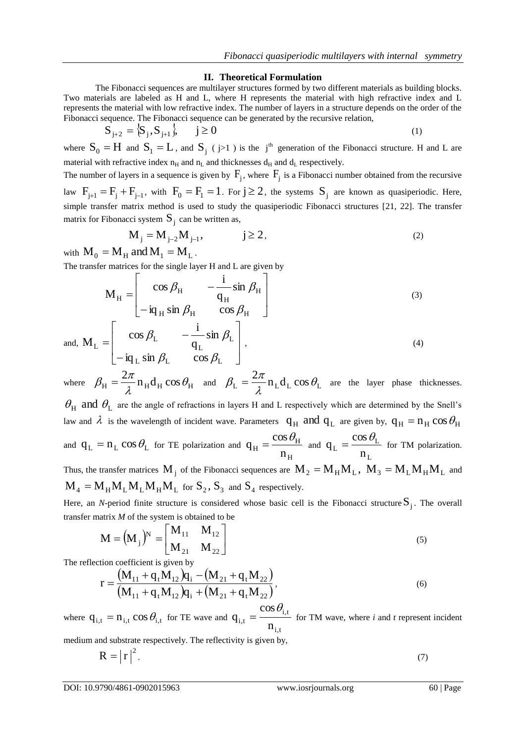### **II. Theoretical Formulation**

The Fibonacci sequences are multilayer structures formed by two different materials as building blocks. Two materials are labeled as H and L, where H represents the material with high refractive index and L represents the material with low refractive index. The number of layers in a structure depends on the order of the Fibonacci sequence. The Fibonacci sequence can be generated by the recursive relation,

$$
S_{j+2} = \{S_j, S_{j+1}\}, \qquad j \ge 0
$$
 (1)

where  $S_0 = H$  and  $S_1 = L$ , and  $S_j$  (j>1) is the j<sup>th</sup> generation of the Fibonacci structure. H and L are material with refractive index  $n_H$  and  $n_L$  and thicknesses  $d_H$  and  $d_L$  respectively. The number of layers in a sequence is given by  $F_j$ , where  $F_j$  is a Fibonacci number obtained from the recursive law  $F_{j+1} = F_j + F_{j-1}$ , with  $F_0 = F_1 = 1$ . For  $j \ge 2$ , the systems  $S_j$  are known as quasiperiodic. Here,

simple transfer matrix method is used to study the quasiperiodic Fibonacci structures [21, 22]. The transfer matrix for Fibonacci system 
$$
S_j
$$
 can be written as,  
\n
$$
M = M \qquad M = 3
$$

$$
M_j = M_{j-2}M_{j-1}, \qquad j \ge 2,
$$
\n
$$
A \quad \text{and } M = M
$$
\n
$$
(2)
$$

with  $\mathbf{M}_0 = \mathbf{M}_{\mathrm{H}}$  and  $\mathbf{M}_1 = \mathbf{M}_{\mathrm{L}}$ .

matrix for

The transfer matrices for the single layer H and L are given by

$$
M_{H} = \begin{bmatrix} \cos \beta_{H} & -\frac{i}{q_{H}} \sin \beta_{H} \\ -i q_{H} \sin \beta_{H} & \cos \beta_{H} \end{bmatrix}
$$
(3)

and,  $M_L = \begin{pmatrix} 1 & 0 & 0 \\ 0 & 0 & 0 \\ 0 & 0 & 0 \end{pmatrix}$  $\overline{\phantom{a}}$  $\frac{1}{2}$  $\mathbf{r}$  $\mathbf{r}$ L  $\overline{a}$  $\overline{a}$  $=$  $L \sin \rho_L$  cos  $\rho_L$ L L L L  $iq_L \sin \beta_L \cos \beta_L$ sin q  $M_{\rm L} = \begin{vmatrix} \cos \theta & \cos \theta \\ \cos \theta & \cos \theta \\ \cos \theta & \cos \theta \\ \cos \theta & \cos \theta \\ \cos \theta & \cos \theta \\ \cos \theta & \cos \theta \\ \cos \theta & \cos \theta \\ \cos \theta & \cos \theta \\ \cos \theta & \cos \theta \\ \cos \theta & \cos \theta \\ \cos \theta & \cos \theta \\ \cos \theta & \cos \theta \\ \cos \theta & \cos \theta \\ \cos \theta & \cos \theta \\ \cos \theta & \cos \theta \\ \cos \theta & \cos \theta \\ \cos \theta & \cos \theta \\ \cos \theta & \cos \theta \\ \cos \theta & \cos \theta \\ \cos \theta & \cos \theta \\ \cos \theta & \cos$  $\beta_{\rm L}$   $\cos \beta_{\rm L}$  $\beta_{\rm L}$   $\sin \beta_{\rm L}$  $,$  (4)

where  $\beta_{\text{H}} = \frac{2\pi}{\lambda} n_{\text{H}} d_{\text{H}} \cos \theta_{\text{H}}$  $\frac{2\pi}{n_{\rm u}}$ n<sub>u</sub>d<sub>u</sub>cos $\theta$  $\lambda$  $\beta_{\rm H} = \frac{2\pi}{\lambda} n_{\rm H} d_{\rm H} \cos \theta_{\rm H}$  and  $\beta_{\rm L} = \frac{2\pi}{\lambda} n_{\rm L} d_{\rm L} \cos \theta_{\rm L}$  $\frac{2\pi}{\pi}$ n, d, cos $\theta_1$  $\lambda$  $\beta_L = \frac{2\pi}{\lambda} n_L d_L \cos \theta_L$  are the layer phase thicknesses.

 $\theta_H$  and  $\theta_L$  are the angle of refractions in layers H and L respectively which are determined by the Snell's law and  $\lambda$  is the wavelength of incident wave. Parameters  $q_H$  and  $q_L$  are given by,  $q_H = n_H \cos \theta_H$ and  $q_L = n_L \cos \theta_L$  for TE polarization and H H  $_{\rm H}$  –  $_{\rm n}$ cos  $q_H = \frac{\cos \theta_H}{\cos \theta_H}$  and L L  $L = \frac{1}{n}$ cos  $q_{\rm L} = \frac{\cos \theta_{\rm L}}{\cos \theta_{\rm L}}$  for TM polarization.

Thus, the transfer matrices  $M_j$  of the Fibonacci sequences are  $M_2 = M_H M_L$ ,  $M_3 = M_L M_H M_L$  and  $M_4 = M_H M_L M_L M_H M_L$  for  $S_2$ ,  $S_3$  and  $S_4$  respectively.

Here, an *N*-period finite structure is considered whose basic cell is the Fibonacci structure  $S_j$ . The overall transfer matrix *M* of the system is obtained to be

$$
\mathbf{M} = (\mathbf{M}_{j})^{\mathbf{N}} = \begin{bmatrix} \mathbf{M}_{11} & \mathbf{M}_{12} \\ \mathbf{M}_{21} & \mathbf{M}_{22} \end{bmatrix}
$$
 (5)

The reflection coefficient is given by

$$
r = \frac{(M_{11} + q_t M_{12})q_i - (M_{21} + q_t M_{22})}{(M_{11} + q_t M_{12})q_i + (M_{21} + q_t M_{22})},
$$
\n
$$
\cos \theta_{i,t}
$$
\n(6)

where  $q_{i,t} = n_{i,t} \cos \theta_{i,t}$  for TE wave and i,t i,t  $_{i,t}$  -  $\frac{ }{n}$ q  $=$   $\frac{3656 \text{ mJ}}{1 \text{ ft}}$  for TM wave, where *i* and *t* represent incident

medium and substrate respectively. The reflectivity is given by,

$$
R = |r|^2. \tag{7}
$$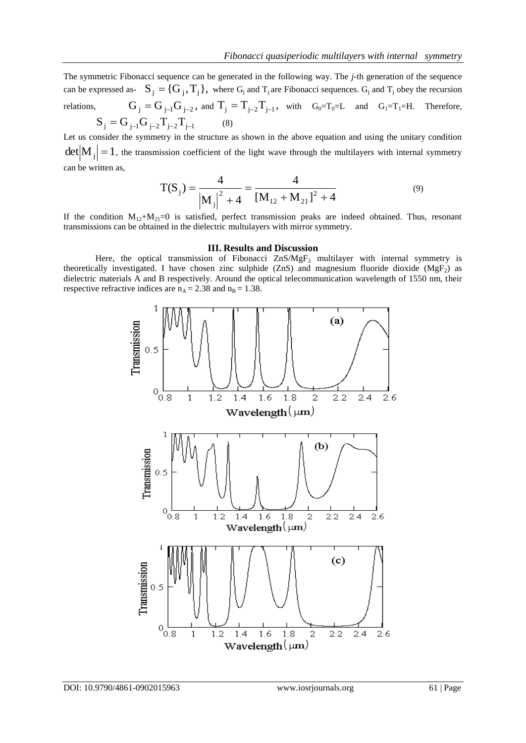The symmetric Fibonacci sequence can be generated in the following way. The *j*-th generation of the sequence can be expressed as-  $S_j = \{G_j, T_j\}$ , where  $G_j$  and  $T_j$  are Fibonacci sequences.  $G_j$  and  $T_j$  obey the recursion relations,  $G_j = G_{j-1} G_{j-2}$ , and  $T_j = T_{j-2} T_{j-1}$ , with  $G_0 = T_0 = L$  and  $G_1 = T_1 = H$ . Therefore,  $S_i = G_{i-1}G_{i-2}T_{i-2}T_{i-1}$ (8)

Let us consider the symmetry in the structure as shown in the above equation and using the unitary condition  $\det(M_j) = 1$ , the transmission coefficient of the light wave through the multilayers with internal symmetry can be written as,

$$
T(S_j) = \frac{4}{|M_j|^2 + 4} = \frac{4}{[M_{12} + M_{21}]^2 + 4}
$$
 (9)

If the condition  $M_{12}+M_{21}=0$  is satisfied, perfect transmission peaks are indeed obtained. Thus, resonant transmissions can be obtained in the dielectric multulayers with mirror symmetry.

#### **III. Results and Discussion**

Here, the optical transmission of Fibonacci  $ZnS/MgF_2$  multilayer with internal symmetry is theoretically investigated. I have chosen zinc sulphide (ZnS) and magnesium fluoride dioxide (MgF<sub>2</sub>) as dielectric materials A and B respectively. Around the optical telecommunication wavelength of 1550 nm, their respective refractive indices are  $n_A = 2.38$  and  $n_B = 1.38$ .

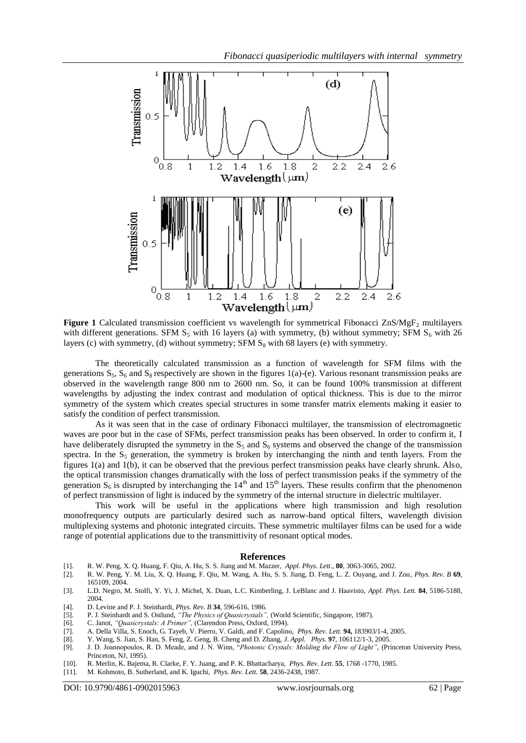

Figure 1 Calculated transmission coefficient vs wavelength for symmetrical Fibonacci ZnS/MgF<sub>2</sub> multilayers with different generations. SFM  $S_5$  with 16 layers (a) with symmetry, (b) without symmetry; SFM  $S_6$  with 26 layers (c) with symmetry, (d) without symmetry; SFM  $S_8$  with 68 layers (e) with symmetry.

The theoretically calculated transmission as a function of wavelength for SFM films with the generations  $S_5$ ,  $S_6$  and  $S_8$  respectively are shown in the figures 1(a)-(e). Various resonant transmission peaks are observed in the wavelength range 800 nm to 2600 nm. So, it can be found 100% transmission at different wavelengths by adjusting the index contrast and modulation of optical thickness. This is due to the mirror symmetry of the system which creates special structures in some transfer matrix elements making it easier to satisfy the condition of perfect transmission.

As it was seen that in the case of ordinary Fibonacci multilayer, the transmission of electromagnetic waves are poor but in the case of SFMs, perfect transmission peaks has been observed. In order to confirm it, I have deliberately disrupted the symmetry in the  $S_5$  and  $S_6$  systems and observed the change of the transmission spectra. In the  $S_5$  generation, the symmetry is broken by interchanging the ninth and tenth layers. From the figures 1(a) and 1(b), it can be observed that the previous perfect transmission peaks have clearly shrunk. Also, the optical transmission changes dramatically with the loss of perfect transmission peaks if the symmetry of the generation  $S_6$  is disrupted by interchanging the  $14<sup>th</sup>$  and  $15<sup>th</sup>$  layers. These results confirm that the phenomenon of perfect transmission of light is induced by the symmetry of the internal structure in dielectric multilayer.

This work will be useful in the applications where high transmission and high resolution monofrequency outputs are particularly desired such as narrow-band optical filters, wavelength division multiplexing systems and photonic integrated circuits. These symmetric multilayer films can be used for a wide range of potential applications due to the transmittivity of resonant optical modes.

#### **References**

- [1]. R. W. Peng, X. Q. Huang, F. Qiu, A. Hu, S. S. Jiang and M. Mazzer, *Appl. Phys. Lett.,* **80**, 3063-3065, 2002.
- [2]. R. W. Peng, Y. M. Liu, X. Q. Huang, F. Qiu, M. Wang, A. Hu, S. S. Jiang, D. Feng, L. Z. Ouyang, and J. Zou, *Phys. Rev. B* **69**, 165109, 2004.
- [3]. L.D. Negro, M. Stolfi, Y. Yi, J. Michel, X. Duan, L.C. Kimberling, J. LeBlanc and J. Haavisto, *Appl. Phys. Lett.* **84**, 5186-5188, 2004.
- [4]. D. Levine and P. J. Steinhardt, *Phys. Rev. B* **34**, 596-616, 1986.
- [5]. P. J. Steinhardt and S. Ostlund, *"The Physics of Quasicrystals",* (World Scientific, Singapore, 1987).
- [6]. C. Janot, *"Quasicrystals: A Primer",* (Clarendon Press, Oxford, 1994).
- [7]. A. Della Villa, S. Enoch, G. Tayeb, V. Pierro, V. Galdi, and F. Capolino, *Phys. Rev. Lett.* **94,** 183903/1-4, 2005.
- [8]. Y. Wang, S. Jian, S. Han, S. Feng, Z. Geng, B. Cheng and D. Zhang, *J. Appl. Phys.* **97**, 106112/1-3, 2005.
- [9]. J. D. Joannopoulos, R. D. Meade, and J. N. Winn, "*Photonic Crystals: Molding the Flow of Light",* (Princeton University Press, Princeton, NJ, 1995).
- [10]. R. Merlin, K. Bajema, R. Clarke, F. Y. Juang, and P. K. Bhattacharya, *Phys. Rev. Lett.* **55**, 1768 -1770, 1985.
- [11]. M. Kohmoto, B. Sutherland, and K. Iguchi, *Phys. Rev. Lett.* **58**, 2436-2438, 1987.